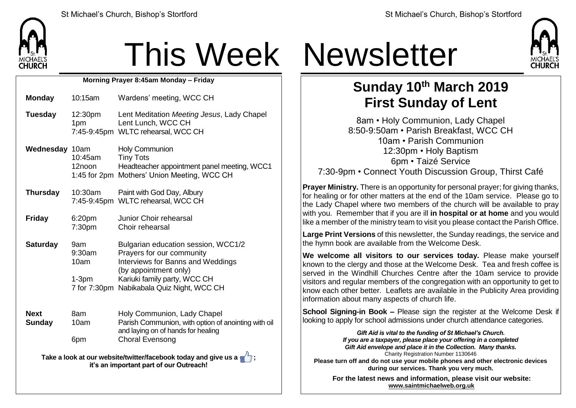

## This Week Newsletter

**Morning Prayer 8:45am Monday – Friday Monday** 10:15am Wardens' meeting, WCC CH **Tuesday** 12:30pm 1pm 7:45-9:45pm WLTC rehearsal, WCC CH Lent Meditation *Meeting Jesus*, Lady Chapel Lent Lunch, WCC CH **Wednesday** 10am 10:45am 12noon 1:45 for 2pm Mothers' Union Meeting, WCC CH Holy Communion Tiny Tots Headteacher appointment panel meeting, WCC1 **Thursday** 10:30am 7:45-9:45pm WLTC rehearsal, WCC CH Paint with God Day, Albury **Friday** 6:20pm 7:30pm Junior Choir rehearsal Choir rehearsal **Saturday** 9am 9:30am 10am 1-3pm 7 for 7:30pm Nabikabala Quiz Night, WCC CH Bulgarian education session, WCC1/2 Prayers for our community Interviews for Banns and Weddings (by appointment only) Kariuki family party, WCC CH **Next Sunday** 8am 10am 6pm Holy Communion, Lady Chapel Parish Communion, with option of anointing with oil and laying on of hands for healing Choral Evensong

**Take a look at our website/twitter/facebook today and give us a**  $\mathbf{r}^2$ **: it's an important part of our Outreach!**



## **Sunday 10th March 2019 First Sunday of Lent**

8am • Holy Communion, Lady Chapel 8:50-9:50am • Parish Breakfast, WCC CH 10am • Parish Communion 12:30pm • Holy Baptism 6pm • Taizé Service 7:30-9pm • Connect Youth Discussion Group, Thirst Café

**Prayer Ministry.** There is an opportunity for personal prayer; for giving thanks, for healing or for other matters at the end of the 10am service. Please go to the Lady Chapel where two members of the church will be available to pray with you. Remember that if you are ill **in hospital or at home** and you would like a member of the ministry team to visit you please contact the Parish Office.

**Large Print Versions** of this newsletter, the Sunday readings, the service and the hymn book are available from the Welcome Desk.

**We welcome all visitors to our services today.** Please make yourself known to the clergy and those at the Welcome Desk. Tea and fresh coffee is served in the Windhill Churches Centre after the 10am service to provide visitors and regular members of the congregation with an opportunity to get to know each other better. Leaflets are available in the Publicity Area providing information about many aspects of church life.

**School Signing-in Book –** Please sign the register at the Welcome Desk if looking to apply for school admissions under church attendance categories.

*Gift Aid is vital to the funding of St Michael's Church. If you are a taxpayer, please place your offering in a completed Gift Aid envelope and place it in the Collection. Many thanks.* Charity Registration Number 1130646 **Please turn off and do not use your mobile phones and other electronic devices during our services. Thank you very much.**

**For the latest news and information, please visit our website: [www.saintmichaelweb.org.uk](http://www.saintmichaelweb.org.uk/)**